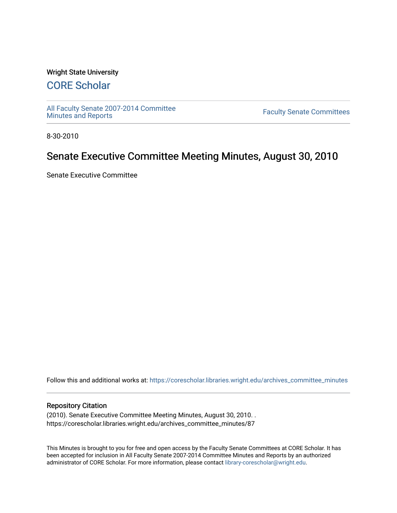### Wright State University

# [CORE Scholar](https://corescholar.libraries.wright.edu/)

[All Faculty Senate 2007-2014 Committee](https://corescholar.libraries.wright.edu/archives_committee_minutes)

**Faculty Senate Committees** 

8-30-2010

## Senate Executive Committee Meeting Minutes, August 30, 2010

Senate Executive Committee

Follow this and additional works at: [https://corescholar.libraries.wright.edu/archives\\_committee\\_minutes](https://corescholar.libraries.wright.edu/archives_committee_minutes?utm_source=corescholar.libraries.wright.edu%2Farchives_committee_minutes%2F87&utm_medium=PDF&utm_campaign=PDFCoverPages) 

#### Repository Citation

(2010). Senate Executive Committee Meeting Minutes, August 30, 2010. . https://corescholar.libraries.wright.edu/archives\_committee\_minutes/87

This Minutes is brought to you for free and open access by the Faculty Senate Committees at CORE Scholar. It has been accepted for inclusion in All Faculty Senate 2007-2014 Committee Minutes and Reports by an authorized administrator of CORE Scholar. For more information, please contact [library-corescholar@wright.edu.](mailto:library-corescholar@wright.edu)